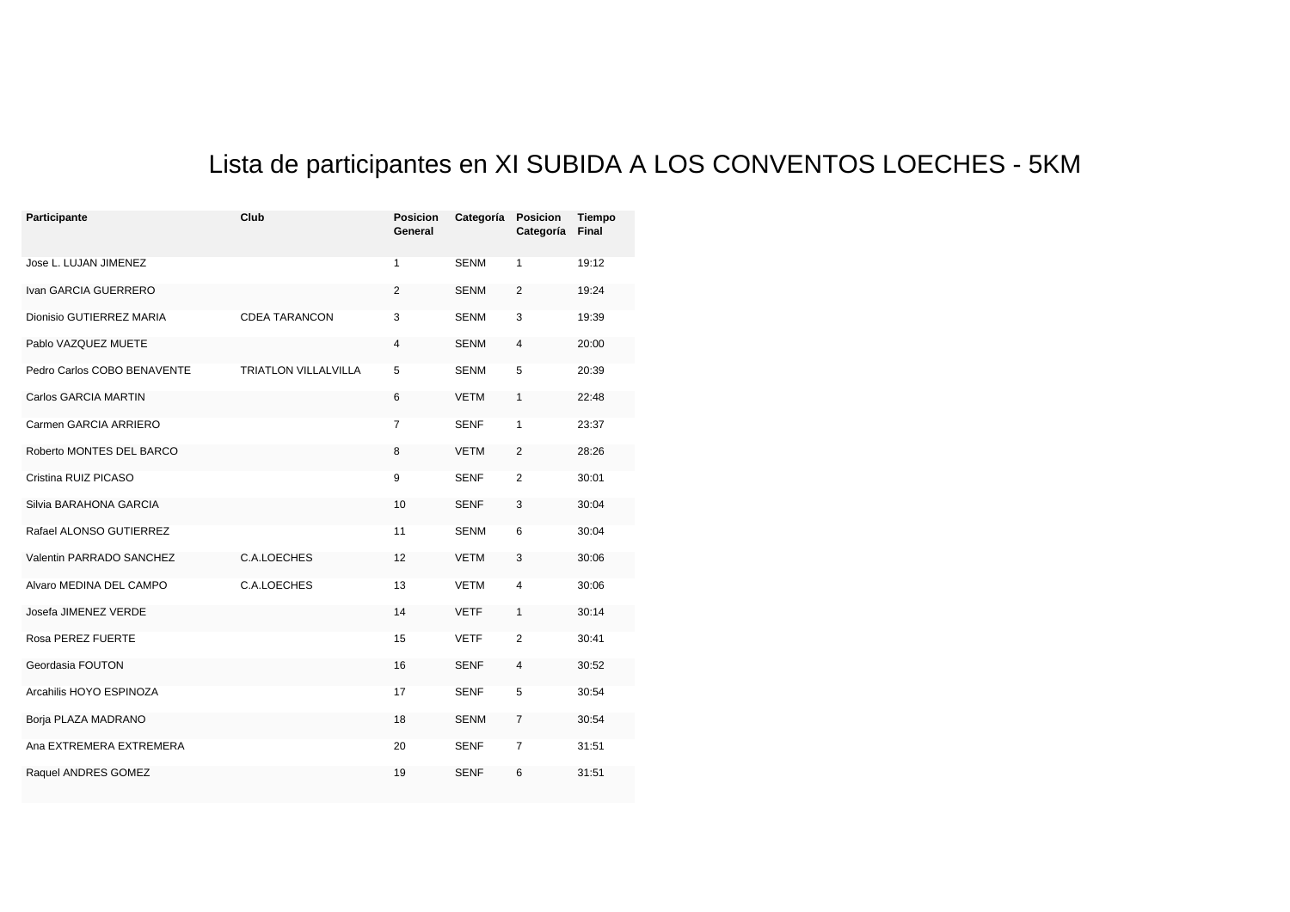## Lista de participantes en XI SUBIDA A LOS CONVENTOS LOECHES - 5KM

| Participante                | Club                        | <b>Posicion</b><br>General | Categoría   | <b>Posicion</b><br>Categoría | Tiempo<br>Final |
|-----------------------------|-----------------------------|----------------------------|-------------|------------------------------|-----------------|
| Jose L. LUJAN JIMENEZ       |                             | 1                          | <b>SENM</b> | 1                            | 19:12           |
| Ivan GARCIA GUERRERO        |                             | 2                          | <b>SENM</b> | 2                            | 19:24           |
| Dionisio GUTIERREZ MARIA    | <b>CDEA TARANCON</b>        | 3                          | <b>SENM</b> | 3                            | 19:39           |
| Pablo VAZQUEZ MUETE         |                             | 4                          | <b>SENM</b> | 4                            | 20:00           |
| Pedro Carlos COBO BENAVENTE | <b>TRIATLON VILLALVILLA</b> | 5                          | <b>SENM</b> | 5                            | 20:39           |
| <b>Carlos GARCIA MARTIN</b> |                             | 6                          | <b>VETM</b> | $\mathbf{1}$                 | 22:48           |
| Carmen GARCIA ARRIERO       |                             | 7                          | <b>SENF</b> | $\mathbf{1}$                 | 23:37           |
| Roberto MONTES DEL BARCO    |                             | 8                          | <b>VETM</b> | 2                            | 28:26           |
| Cristina RUIZ PICASO        |                             | 9                          | <b>SENF</b> | 2                            | 30:01           |
| Silvia BARAHONA GARCIA      |                             | 10                         | <b>SENF</b> | 3                            | 30:04           |
| Rafael ALONSO GUTIERREZ     |                             | 11                         | <b>SENM</b> | 6                            | 30:04           |
| Valentin PARRADO SANCHEZ    | C.A.LOECHES                 | 12                         | <b>VETM</b> | 3                            | 30:06           |
| Alvaro MEDINA DEL CAMPO     | C.A.LOECHES                 | 13                         | <b>VETM</b> | 4                            | 30:06           |
| Josefa JIMENEZ VERDE        |                             | 14                         | <b>VETF</b> | 1                            | 30:14           |
| Rosa PEREZ FUERTE           |                             | 15                         | <b>VETF</b> | 2                            | 30:41           |
| Geordasia FOUTON            |                             | 16                         | <b>SENF</b> | 4                            | 30:52           |
| Arcahilis HOYO ESPINOZA     |                             | 17                         | <b>SENF</b> | 5                            | 30:54           |
| Borja PLAZA MADRANO         |                             | 18                         | <b>SENM</b> | 7                            | 30:54           |
| Ana EXTREMERA EXTREMERA     |                             | 20                         | <b>SENF</b> | 7                            | 31:51           |
| Raquel ANDRES GOMEZ         |                             | 19                         | <b>SENF</b> | 6                            | 31:51           |